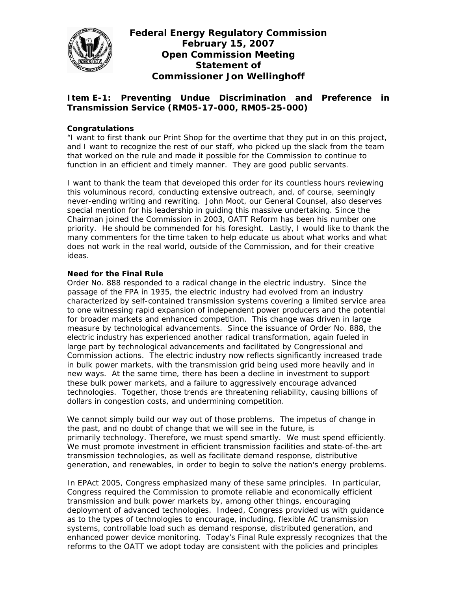

# **Federal Energy Regulatory Commission February 15, 2007 Open Commission Meeting Statement of Commissioner Jon Wellinghoff**

# **Item E-1: Preventing Undue Discrimination and Preference in Transmission Service (RM05-17-000, RM05-25-000)**

## **Congratulations**

"I want to first thank our Print Shop for the overtime that they put in on this project, and I want to recognize the rest of our staff, who picked up the slack from the team that worked on the rule and made it possible for the Commission to continue to function in an efficient and timely manner. They are good public servants.

I want to thank the team that developed this order for its countless hours reviewing this voluminous record, conducting extensive outreach, and, of course, seemingly never-ending writing and rewriting. John Moot, our General Counsel, also deserves special mention for his leadership in guiding this massive undertaking. Since the Chairman joined the Commission in 2003, OATT Reform has been his number one priority. He should be commended for his foresight. Lastly, I would like to thank the many commenters for the time taken to help educate us about what works and what does not work in the real world, outside of the Commission, and for their creative ideas.

### **Need for the Final Rule**

Order No. 888 responded to a radical change in the electric industry. Since the passage of the FPA in 1935, the electric industry had evolved from an industry characterized by self-contained transmission systems covering a limited service area to one witnessing rapid expansion of independent power producers and the potential for broader markets and enhanced competition. This change was driven in large measure by technological advancements. Since the issuance of Order No. 888, the electric industry has experienced another radical transformation, again fueled in large part by technological advancements and facilitated by Congressional and Commission actions. The electric industry now reflects significantly increased trade in bulk power markets, with the transmission grid being used more heavily and in new ways. At the same time, there has been a decline in investment to support these bulk power markets, and a failure to aggressively encourage advanced technologies. Together, those trends are threatening reliability, causing billions of dollars in congestion costs, and undermining competition.

We cannot simply build our way out of those problems. The impetus of change in the past, and no doubt of change that we will see in the future, is primarily technology. Therefore, we must spend smartly. We must spend efficiently. We must promote investment in efficient transmission facilities and state-of-the-art transmission technologies, as well as facilitate demand response, distributive generation, and renewables, in order to begin to solve the nation's energy problems.

In EPAct 2005, Congress emphasized many of these same principles. In particular, Congress required the Commission to promote reliable and economically efficient transmission and bulk power markets by, among other things, encouraging deployment of advanced technologies. Indeed, Congress provided us with guidance as to the types of technologies to encourage, including, flexible AC transmission systems, controllable load such as demand response, distributed generation, and enhanced power device monitoring. Today's Final Rule expressly recognizes that the reforms to the OATT we adopt today are consistent with the policies and principles